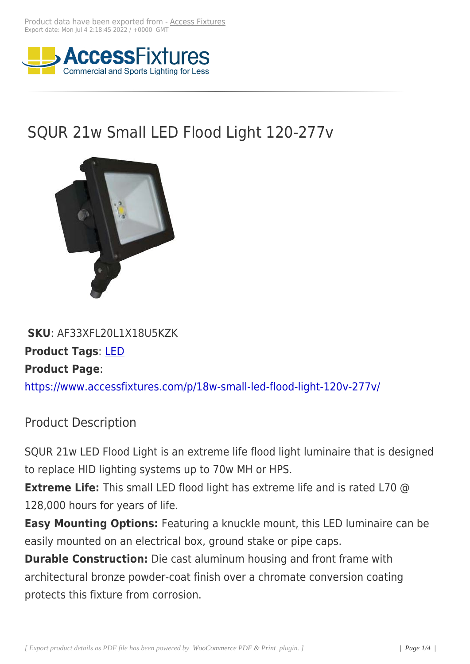

## SQUR 21w Small LED Flood Light 120-277v



## **SKU**: AF33XFL20L1X18U5KZK **Product Tags**: LED **Product Page**: https://www.acc[essf](https://www.accessfixtures.com/product-tag/led/)ixtures.com/p/18w-small-led-flood-light-120v-277v/

[Product Description](https://www.accessfixtures.com/p/18w-small-led-flood-light-120v-277v/)

SQUR 21w LED Flood Light is an extreme life flood light luminaire that is designed to replace HID lighting systems up to 70w MH or HPS.

**Extreme Life:** This small LED flood light has extreme life and is rated L70 @ 128,000 hours for years of life.

**Easy Mounting Options:** Featuring a knuckle mount, this LED luminaire can be easily mounted on an electrical box, ground stake or pipe caps.

**Durable Construction:** Die cast aluminum housing and front frame with architectural bronze powder-coat finish over a chromate conversion coating protects this fixture from corrosion.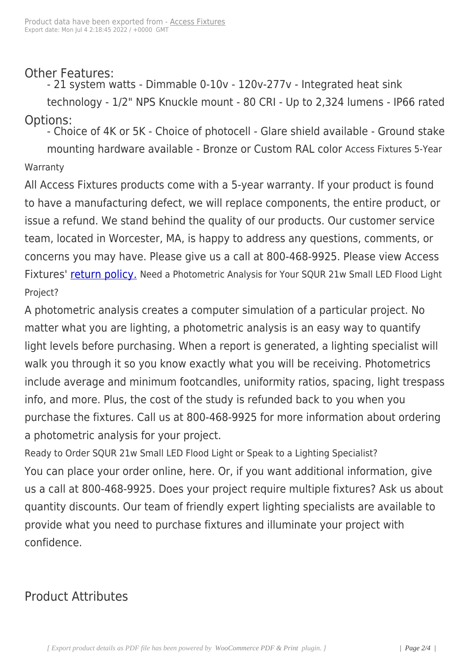Other Features:

- 21 system watts - Dimmable 0-10v - 120v-277v - Integrated heat sink

technology - 1/2" NPS Knuckle mount - 80 CRI - Up to 2,324 lumens - IP66 rated Options:

- Choice of 4K or 5K - Choice of photocell - Glare shield available - Ground stake mounting hardware available - Bronze or Custom RAL color Access Fixtures 5-Year Warranty

All Access Fixtures products come with a 5-year warranty. If your product is found to have a manufacturing defect, we will replace components, the entire product, or issue a refund. We stand behind the quality of our products. Our customer service team, located in Worcester, MA, is happy to address any questions, comments, or concerns you may have. Please give us a call at 800-468-9925. Please view Access Fixtures' return policy. Need a Photometric Analysis for Your SQUR 21w Small LED Flood Light Project?

A photo[metric analysis](https://www.accessfixtures.com/return-policy/) creates a computer simulation of a particular project. No matter what you are lighting, a photometric analysis is an easy way to quantify light levels before purchasing. When a report is generated, a lighting specialist will walk you through it so you know exactly what you will be receiving. Photometrics include average and minimum footcandles, uniformity ratios, spacing, light trespass info, and more. Plus, the cost of the study is refunded back to you when you purchase the fixtures. Call us at 800-468-9925 for more information about ordering a photometric analysis for your project.

Ready to Order SQUR 21w Small LED Flood Light or Speak to a Lighting Specialist? You can place your order online, here. Or, if you want additional information, give us a call at 800-468-9925. Does your project require multiple fixtures? Ask us about quantity discounts. Our team of friendly expert lighting specialists are available to provide what you need to purchase fixtures and illuminate your project with confidence.

## Product Attributes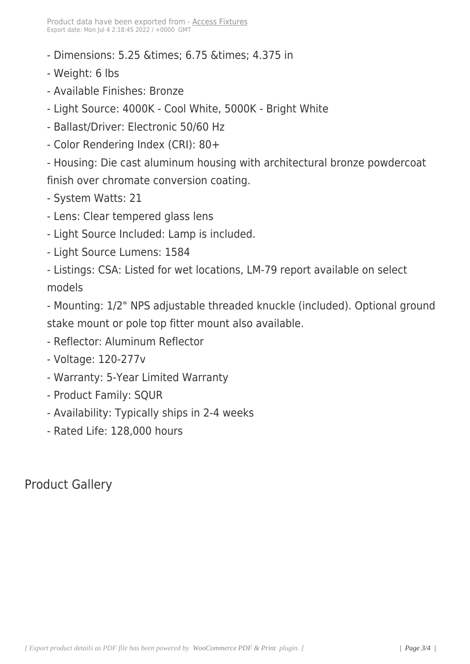- Dimensions: 5.25 & times; 6.75 & times; 4.375 in
- Weight: 6 lbs
- Available Finishes: Bronze
- Light Source: 4000K Cool White, 5000K Bright White
- Ballast/Driver: Electronic 50/60 Hz
- Color Rendering Index (CRI): 80+

- Housing: Die cast aluminum housing with architectural bronze powdercoat finish over chromate conversion coating.

- System Watts: 21

- Lens: Clear tempered glass lens
- Light Source Included: Lamp is included.
- Light Source Lumens: 1584

- Listings: CSA: Listed for wet locations, LM-79 report available on select models

- Mounting: 1/2" NPS adjustable threaded knuckle (included). Optional ground stake mount or pole top fitter mount also available.

- Reflector: Aluminum Reflector
- Voltage: 120-277v
- Warranty: 5-Year Limited Warranty
- Product Family: SQUR
- Availability: Typically ships in 2-4 weeks
- Rated Life: 128,000 hours

Product Gallery